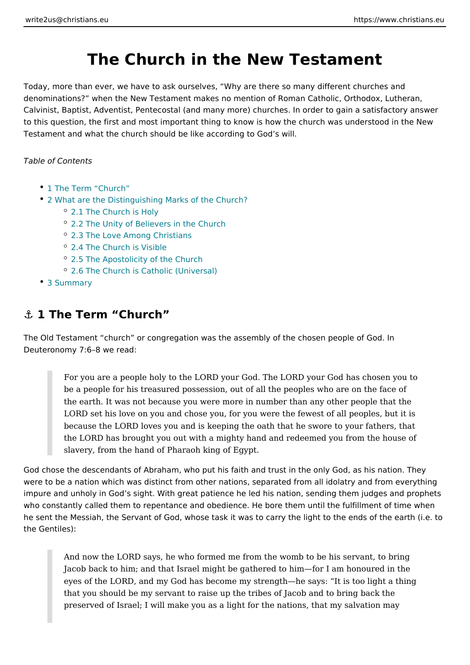# The Church in the New Testament

Today, more than ever, we have to ask ourselves, Why are there so many different denominations? when the New Testament makes no mention of Roman Catholic, Calvinist, Baptist, Adventist, Pentecostal (and many more) churches. In order to to this question, the first and most important thing to know is how the church wa Testament and what the church should be like according to God s will.

Table of Contents

- 1 The Term Church
- [2 What are the Distinguishing Marks](#page-1-0) of the Church?
	- [2.1 The Church](#page-2-0) is Holy
	- [2.2 The Unity of Believers i](#page-3-0)n the Church
	- [2.3 The Love Among C](#page-4-0)hristians
	- [2.4 The Church is](#page-6-0) Visible
	- [2.5 The Apostolicity of](#page-7-0) the Church
	- [2.6 The Church is Catholic](#page-9-0) (Universal)
- [3 Summa](#page-9-0)ry

## &" 1 The Term Church

The Old Testament church or congregation was the assembly of the chosen peo Deuteronomy 7:6 8 we read:

For you are a people holy to the LORD your God. The LORD your God has be a people for his treasured possession, out of all the peoples who are the earth. It was not because you were more in number than any other p LORD set his love on you and chose you, for you were the fewest of all because the LORD loves you and is keeping the oath that he swore to your the LORD has brought you out with a mighty hand and redeemed you from slavery, from the hand of Pharaoh king of Egypt.

God chose the descendants of Abraham, who put his faith and trust in the only G were to be a nation which was distinct from other nations, separated from all ido impure and unholy in God s sight. With great patience he led his nation, sending who constantly called them to repentance and obedience. He bore them until the he sent the Messiah, the Servant of God, whose task it was to carry the light to the Gentiles):

And now the LORD says, he who formed me from the womb to be his ser Jacob back to him; and that Israel might be gathered to him for I am ho eyes of the LORD, and my God has become my strength he says: It is t that you should be my servant to raise up the tribes of Jacob and to bri preserved of Israel; I will make you as a light for the nations, that my s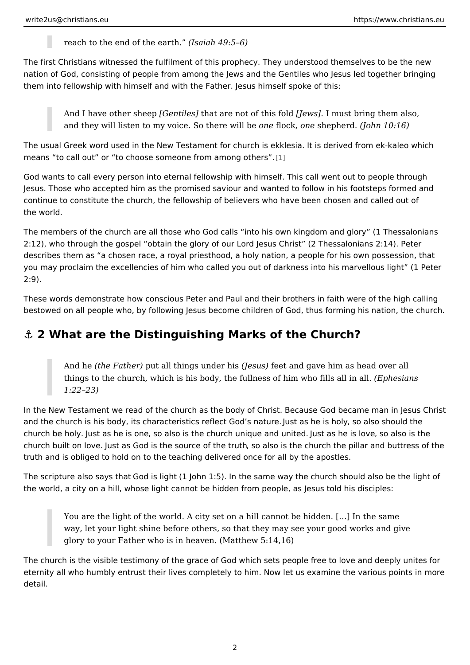reach to the end of the learth.  $49:5\;6$ )

<span id="page-1-0"></span>The first Christians witnessed the fulfilment of this prophecy. They understood t nation of God, consisting of people from among the Jews and the Gentiles who J them into fellowship with himself and with the Father. Jesus himself spoke of thi

And I have other [sCheemetpiletsh] at are not of th[ilse wiosal] id must bring them also, and they will listen to my voice. Soon beloec kwinds be phend on  $10:16$  )

The usual Greek word used in the New Testament for church is ekklesia. It is de means to call out or to choose someone fr[om](#page-10-0) among others.

God wants to call every person into eternal fellowship with himself. This call we Jesus. Those who accepted him as the promised saviour and wanted to follow in continue to constitute the church, the fellowship of believers who have been cho the world.

The members of the church are all those who God calls into his own kingdom an 2:12), who through the gospel obtain the glory of our Lord Jesus Christ (2 Thest describes them as a chosen race, a royal priesthood, a holy nation, a people fo you may proclaim the excellencies of him who called you out of darkness into his  $2:9$ .

These words demonstrate how conscious Peter and Paul and their brothers in faith were the  $\overline{a}$ bestowed on all people who, by following Jesus become children of God, thus for

## &" 2 What are the Distinguishing Marks of the Church?

And hethe Fath pult all things undele shuiss bet and gave him as head over all things to the church, which is his body, the fullness of (*E*liporh ew shianfsills all 1:22 23)

In the New Testament we read of the church as the body of Christ. Because God and the church is his body, its characteristics denished ats Ghoedis should sended the church be holy at as he is soonelso is the church unique leased aush het eds sloveels o is the church built on Juos weas God is the source, of othed storuitsh the church the pillar and but truth and is obliged to hold on to the teaching delivered once for all by the apos

The scripture also s  $\circ$  we is altight  $J$  ohn 1:5). In the same way the church should als the world, a city on a hill, whose light cannot be hidden from people, as Jesus t

You are the light of the world. A city set on a hill cannot be hidden. [&] way, let your light shine before others, so that they may see your good glory to your Father who is in heaven. (Matthew 5:14,16)

The church is the visible testimony of the grace of God which sets people free to eternity all who humbly entrust their lives completely to him. Now let us examine detail.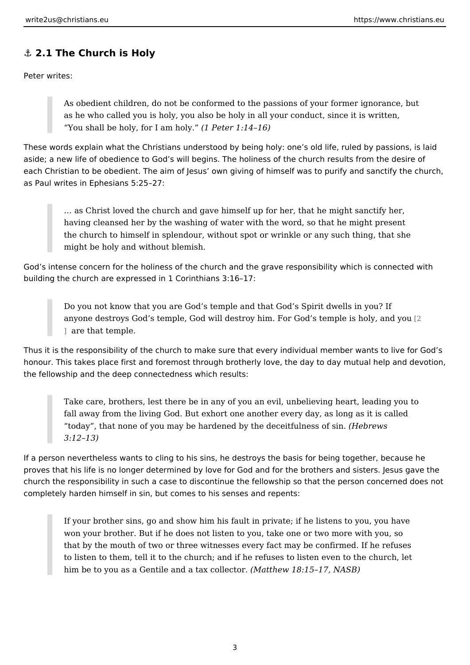#### <span id="page-2-0"></span>&" 2.1 The Church is Holy

Peter writes:

As obedient children, do not be conformed to the passions of your former as he who called you is holy, you also be holy in all your conduct, since You shall be holy, for  $l$  ( $dmP$ )  $e^+$ , 1:14 16)

These words explain what the Christians understood by being holy: one s old life aside; a new life of obedience to God s will begins. The holiness of the church r each Christian to be obedient. The aim of Jesus own giving of himself was to pu as Paul writes in Ephesians 5:25 27:

& as Christ loved the church and gave himself up for her, that he might having cleansed her by the washing of water with the word, so that he no the church to himself in splendour, without spot or wrinkle or any such might be holy and without blemish.

God s intense concern for the holiness of the church and the grave responsibilit building the church are expressed in 1 Corinthians 3:16 17:

Do you not know that you are God s temple and that God s Spirit dwells anyone destroy[s](#page-10-0) God s temple, God will destroy him. For God  $x$  temple i ] are that temple.

Thus it is the responsibility of the church to make sure that every individual mei honour. This takes place first and foremost through brotherly love, the day to da the fellowship and the deep connectedness which results:

Take care, brothers, lest there be in any of you an evil, unbelieving heart fall away from the living God. But exhort one another every day, as long today, that none of you may be hardened by the decebite wheness of sin. 3:12 13)

If a person nevertheless wants to cling to his sins, he destroys the basis for bei proves that his life is no longer determined by love for God and for the brothers church the responsibility in such a case to discontinue the fellowship so that the completely harden himself in sin, but comes to his senses and repents:

If your brother sins, go and show him his fault in private; if he listens t won your brother. But if he does not listen to you, take one or two more that by the mouth of two or three witnesses every fact may be confirmed to listen to them, tell it to the church; and if he refuses to listen even him be to you as a Gentile and a (to ato below ct 8r15 17, NASB)

3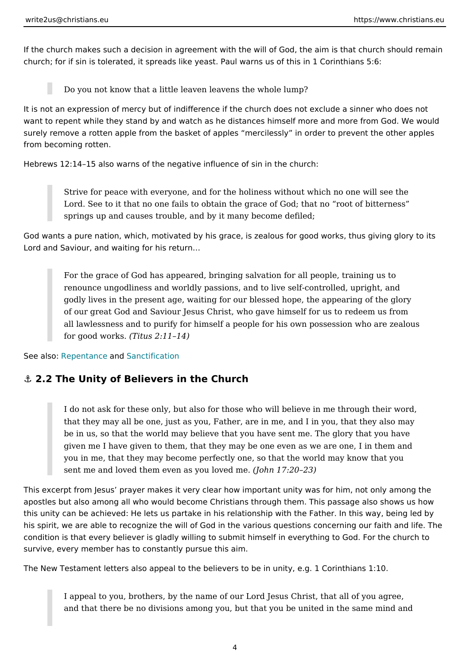<span id="page-3-0"></span>If the church makes such a decision in agreement with the will of God, the aim i church; for if sin is tolerated, it spreads like yeast. Paul warns us of this in 1 C

Do you not know that a little leaven leavens the whole lump?

It is not an expression of mercy but of indifference if the church does not exclud want to repent while they stand by and watch as he distances himself more and r surely remove a rotten apple from the basket of apples mercilessly in order to from becoming rotten.

Hebrews 12:14 15 also warns of the negative influence of sin in the church:

Strive for peace with everyone, and for the holiness without which no of Lord. See to it that no one fails to obtain the grace of God; that no root springs up and causes trouble, and by it many become defiled;

God wants a pure nation, which, motivated by his grace, is zealous for good wor Lord and Saviour, and waiting for his return &

For the grace of God has appeared, bringing salvation for all people, tr renounce ungodliness and worldly passions, and to live self-controlled, godly lives in the present age, waiting for our blessed hope, the appear of our great God and Saviour Jesus Christ, who gave himself for us to r all lawlessness and to purify for himself a people for his own possessio for good wo $(K$ stus 2:11 14)

See alsoepentanance Sanctification

&" 2.2 The Unity of Believers in the Church

I do not ask for these only, but also for those who will believe in me th that they may all be one, just as you, Father, are in me, and I in you, that be in us, so that the world may believe that you have sent me. The glor given me I have given to them, that they may be one even as we are one you in me, that they may become perfectly one, so that the world may k sent me and loved them even as  $y$  ( $\Delta$ luo hoov  $\ell$   $\bar{d}$ :  $\hat{z}$ n $\Omega$ e. 23)

This excerpt from Jesus prayer makes it very clear how important unity was for apostles but also among all who would become Christians through them. This pas this unity can be achieved: He lets us partake in his relationship with the Father his spirit, we are able to recognize the will of God in the various questions conc condition is that every believer is gladly willing to submit himself in everything survive, every member has to constantly pursue this aim.

The New Testament letters also appeal to the believers to be in unity, e.g. 1 Co

I appeal to you, brothers, by the name of our Lord Jesus Christ, that al and that there be no divisions among you, but that you be united in the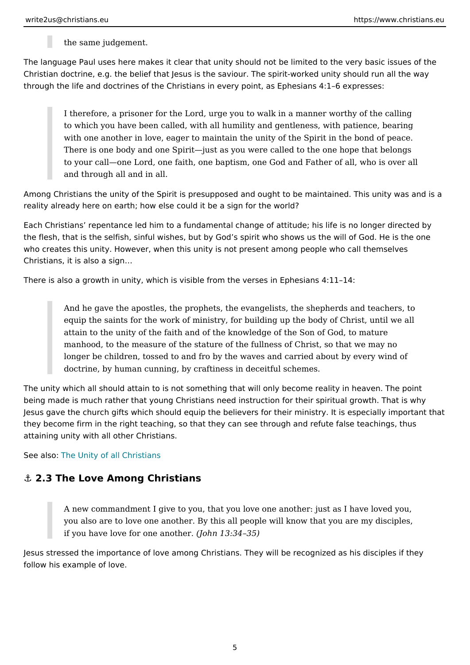the same judgement.

<span id="page-4-0"></span>The language Paul uses here makes it clear that unity should not be limited to the Christian doctrine, e.g. the belief that Jesus is the saviour. The spirit-worked unit through the life and doctrines of the Christians in every point, as Ephesians 4:1

I therefore, a prisoner for the Lord, urge you to walk in a manner worth to which you have been called, with all humility and gentleness, with pa with one another in love, eager to maintain the unity of the Spirit in the There is one body and one Spirit just as you were called to the one hop to your call one Lord, one faith, one baptism, one God and Father of all and through all and in all.

Among Christians the unity of the Spirit is presupposed and ought to be maintair reality already here on earth; how else could it be a sign for the world?

Each Christians repentance led him to a fundamental change of attitude; his life the flesh, that is the selfish, sinful wishes, but by God s spirit who shows us the who creates this unity. However, when this unity is not present among people wh Christians, it is also a sign &

There is also a growth in unity, which is visible from the verses in Ephesians 4:

And he gave the apostles, the prophets, the evangelists, the shepherds equip the saints for the work of ministry, for building up the body of Ch attain to the unity of the faith and of the knowledge of the Son of God, manhood, to the measure of the stature of the fullness of Christ, so tha longer be children, tossed to and fro by the waves and carried about by doctrine, by human cunning, by craftiness in deceitful schemes.

The unity which all should attain to is not something that will only become realit being made is much rather that young Christians need instruction for their spirit Jesus gave the church gifts which should equip the believers for their ministry. they become firm in the right teaching, so that they can see through and refute f attaining unity with all other Christians.

See alsTone Unity of all Christians

&" 2.3 The Love Among Christians

A new commandment I give to you, that you love one another: just as I I you also are to love one another. By this all people will know that you a if you have love for one  $\phi$  and the 3:34 35)

Jesus stressed the importance of love among Christians. They will be recognized follow his example of love.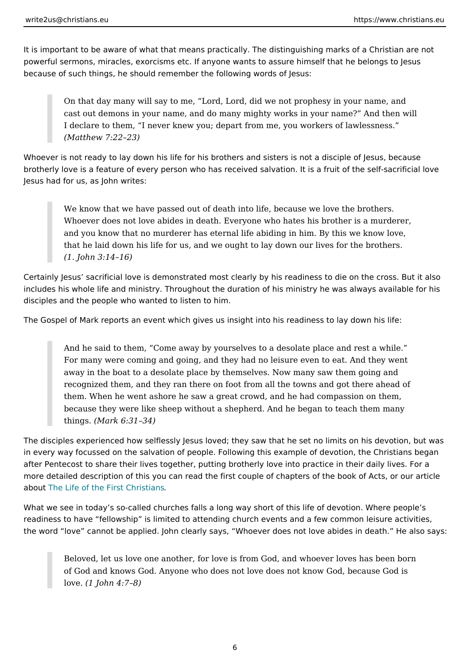It is important to be aware of what that means practically. The distinguishing ma powerful sermons, miracles, exorcisms etc. If anyone wants to assure himself th because of such things, he should remember the following words of Jesus:

On that day many will say to me, Lord, Lord, did we not prophesy in yo cast out demons in your name, and do many mighty works in your name? I declare to them, I never knew you; depart from me, you workers of la (Matthew 7:22 23)

Whoever is not ready to lay down his life for his brothers and sisters is not a di brotherly love is a feature of every person who has received salvation. It is a fr Jesus had for us, as John writes:

We know that we have passed out of death into life, because we love the Whoever does not love abides in death. Everyone who hates his brother and you know that no murderer has eternal life abiding in him. By this v that he laid down his life for us, and we ought to lay down our lives for (1. John 3:14 16)

Certainly Jesus sacrificial love is demonstrated most clearly by his readiness to includes his whole life and ministry. Throughout the duration of his ministry he was always and the form of his disciples and the people who wanted to listen to him.

The Gospel of Mark reports an event which gives us insight into his readiness to

And he said to them, Come away by yourselves to a desolate place and For many were coming and going, and they had no leisure even to eat.  $A$ away in the boat to a desolate place by themselves. Now many saw them recognized them, and they ran there on foot from all the towns and got them. When he went ashore he saw a great crowd, and he had compassion because they were like sheep without a shepherd. And he began to teac things Mark  $6:31$  34)

The disciples experienced how selflessly Jesus loved; they saw that he set no li in every way focussed on the salvation of people. Following this example of devo after Pentecost to share their lives together, putting brotherly love into practice more detailed description of this you can read the first couple of chapters of the abouthe Life of the First Christians

What we see in today s so-called churches falls a long way short of this life of d readiness to have fellowship is limited to attending church events and a few co the word love cannot be applied. John clearly says, Whoever does not love ab

Beloved, let us love one another, for love is from God, and whoever lov of God and knows God. Anyone who does not love does not know God, b  $love(1 John 4:7 8)$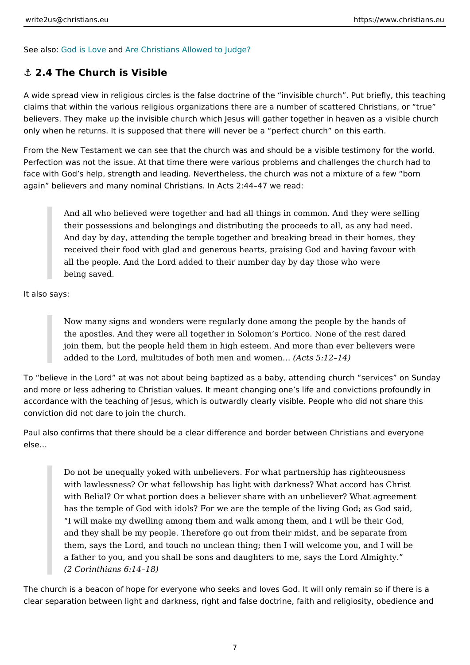<span id="page-6-0"></span>See alsoned is Loamed are Christians Allowed to Judge?

## &" 2.4 The Church is Visible

A wide spread view in religious circles is the false doctrine of the invisible chu claims that within the various religious organizations there are a number of scat believers. They make up the invisible church which Jesus will gather together in only when he returns. It is supposed that there will never be a perfect church on

From the New Testament we can see that the church was and should be a visible Perfection was not the issue. At that time there were various problems and chall face with God s help, strength and leading. Nevertheless, the church was not a r again believers and many nominal Christians. In Acts 2:44 47 we read:

Andallwho believed were together and had all things in common. And the their possessions and belongings and distributing the proceeds to all, a And day by day, attending the temple together and breaking bread in the received their food with glad and generous hearts, praising God and have all the people. And the Lord added to their number day by day those wh being saved.

It also says:

Now many signs and wonders were regularly done among the people by the hands of  $\frac{1}{2}$ the apostles. And thay tweether in Solomon s Portico. None of the rest d join them, but the people held them in high esteem. And more than ever added to the Lord, multitudes of both men A and 5x of  $\alpha$  en A&

To believe in the Lord at was not about being baptized as a baby, attending ch and more or less adhering to Christian values. It meant changing one s life and accordance with the teaching of Jesus, which is outwardly clearly visible. People conviction did not dare to join the church.

Paul also confirms that there should be a clear difference and border between C else &

Do not be unequally yoked with unbelievers. For what partnership has right with lawlessness? Or what fellowship has light with darkness? What acc with Belial? Or what portion does a believer share with an unbeliever? ' has the temple of God with idols? For we are the temple of the living Go I will make my dwelling among them and walk among them, and I will be and they shall be my people. Therefore go out from their midst, and be them, says the Lord, and touch no unclean thing; then I will welcome yo a father to you, and you shall be sons and daughters to me, says the Lo (2 Corinthians 6:14 18)

The church is a beacon of hope for everyone who seeks and loves God. It will on clear separation between light and darkness, right and false doctrine, faith and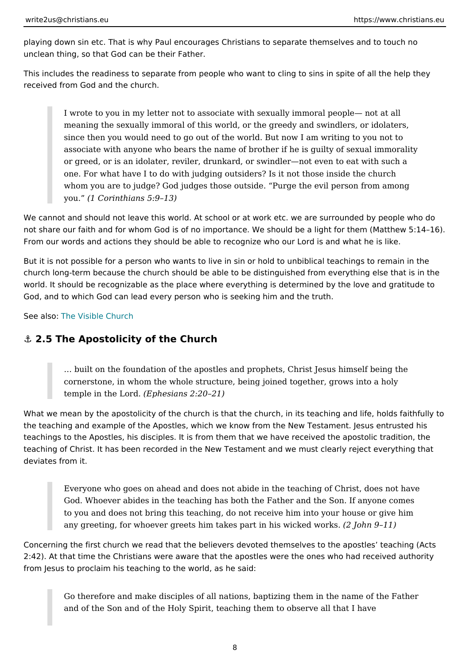<span id="page-7-0"></span>playing down sin etc. That is why Paul encourages Christians to separate themse unclean thing, so that God can be their Father.

This includes the readiness to separate from people who want to cling to sins in received from God and the church.

I wrote to you in my letter not to associate with sexually immoral people meaning the sexually immoral of this world, or the greedy and swindlers since then you would need to go out of the world. But now I am writing associate with anyone who bears the name of brother if he is guilty of s or greed, or is an idolater, reviler, drunkard, or swindler not even to ea one. For what have I to do with judging outsiders? Is it not those inside whom you are to judge? God judges those outside. Purge the evil perso you. (1 Corinthians 5:9 13)

We cannot and should not leave this world. At school or at work etc. we are surr not share our faith and for whom God is of no importance. We should be a light for From our words and actions they should be able to recognize who our Lord is an

But it is not possible for a person who wants to live in sin or hold to unbiblical church long-term because the church should be able to be distinguished from every world. It should be recognizable as the place where everything is determined by God, and to which God can lead every person who is seeking him and the truth.

See alsone Visible Church

#### &" 2.5 The Apostolicity of the Church

& built on the foundation of the apostles and prophets, Christ Jesus him cornerstone, in whom the whole structure, being joined together, grows temple in the  $\lfloor \frac{E_{\text{obs}}}{E_{\text{obs}}} \rfloor$  and 2:20 21)

What we mean by the apostolicity of the church is that the church, in its teachin the teaching and example of the Apostles, which we know from the New Testamer teachings to the Apostles, his disciples. It is from them that we have received the teaching of Christ. It has been recorded in the New Testament and we must clea deviates from it.

Everyone who goes on ahead and does not abide in the teaching of Chri God. Whoever abides in the teaching has both the Father and the Son. I to you and does not bring this teaching, do not receive him into your ho any greeting, for whoever greets him takes part in 2 his ownic & end two rks.

Concerning the first church we read that the believers devoted themselves to the 2:42). At that time the Christians were aware that the apostles were the ones wh from Jesus to proclaim his teaching to the world, as he said:

Go therefore and make disciples of all nations, baptizing them in the na and of the Son and of the Holy Spirit, teaching them to observe all that

8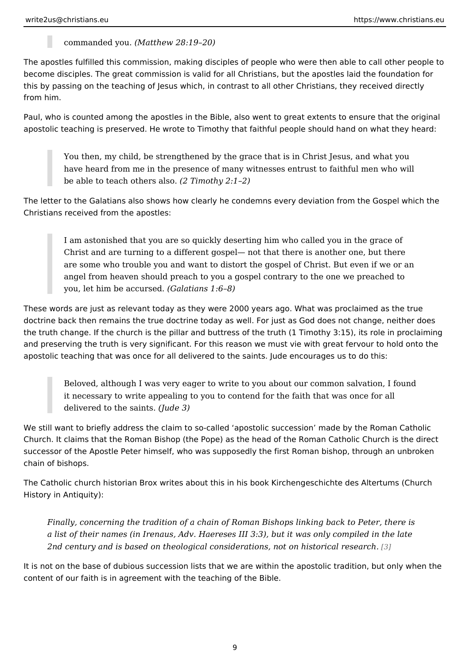commanded y(dMuatthew 28:19 20)

The apostles fulfilled this commission, making disciples of people who were ther become disciples. The great commission is valid for all Christians, but the apost this by passing on the teaching of Jesus which, in contrast to all other Christian from him.

Paul, who is counted among the apostles in the Bible, also went to great extents apostolic teaching is preserved. He wrote to Timothy that faithful people should

You then, my child, be strengthened by the grace that is in Christ Jesus have heard from me in the presence of many witnesses entrust to faithful be able to teach others Tainsothy 2:1 2)

The letter to the Galatians also shows how clearly he condemns every deviation Christians received from the apostles:

I am astonished that you are so quickly deserting him who called you in Christ and are turning to a different gospel not that there is another or are some who trouble you and want to distort the gospel of Christ. But or angel from heaven should preach to you a gospel contrary to the one we you, let him be  $acq$  Graslendians 1:6 8)

These words are just as relevant today as they were 2000 years ago. What was p doctrine back then remains the true doctrine today as well. For just as God does the truth change. If the church is the pillar and buttress of the truth (1 Timothy and preserving the truth is very significant. For this reason we must vie with gre apostolic teaching that was once for all delivered to the saints. Jude encourages

Beloved, although I was very eager to write to you about our common sa it necessary to write appealing to you to contend for the faith that was delivered to the  $$div$ rdelivered to the  $$div$ 

We still want to briefly address the claim to so-called apostolic succession ma Church. It claims that the Roman Bishop (the Pope) as the head of the Roman Ca successor of the Apostle Peter himself, who was supposedly the first Roman bish chain of bishops.

The Catholic church historian Brox writes about this in his book Kirchengeschich History in Antiquity):

Finally, concerning the tradition of a chain of Roman Bishops linking back a list of their names (in Irenaus, Adv. Haereses III 3:3), but it was only co 2nd century and is based on theological considerations, not $\beta$ pn historical r

It is not on the base of dubious succession lists that we are within the apostolic content of our faith is in agreement with the teaching of the Bible.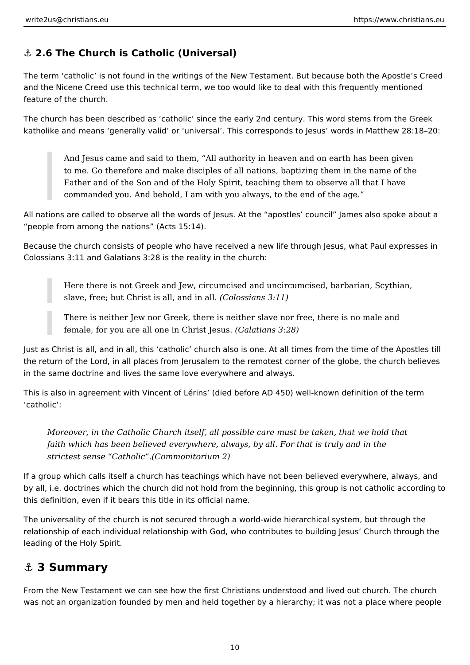# <span id="page-9-0"></span>**⚓ 2.6 The Church is Catholic (Universal)**

The term 'catholic' is not found in the writings of the New Testament. But because both the Apostle's Creed and the Nicene Creed use this technical term, we too would like to deal with this frequently mentioned feature of the church.

The church has been described as 'catholic' since the early 2nd century. This word stems from the Greek katholike and means 'generally valid' or 'universal'. This corresponds to Jesus' words in Matthew 28:18–20:

And Jesus came and said to them, "All authority in heaven and on earth has been given to me. Go therefore and make disciples of all nations, baptizing them in the name of the Father and of the Son and of the Holy Spirit, teaching them to observe all that I have commanded you. And behold, I am with you always, to the end of the age."

All nations are called to observe all the words of Jesus. At the "apostles' council" James also spoke about a "people from among the nations" (Acts 15:14).

Because the church consists of people who have received a new life through Jesus, what Paul expresses in Colossians 3:11 and Galatians 3:28 is the reality in the church:

Here there is not Greek and Jew, circumcised and uncircumcised, barbarian, Scythian, slave, free; but Christ is all, and in all. *(Colossians 3:11)*

There is neither Jew nor Greek, there is neither slave nor free, there is no male and female, for you are all one in Christ Jesus. *(Galatians 3:28)*

Just as Christ is all, and in all, this 'catholic' church also is one. At all times from the time of the Apostles till the return of the Lord, in all places from Jerusalem to the remotest corner of the globe, the church believes in the same doctrine and lives the same love everywhere and always.

This is also in agreement with Vincent of Lérins' (died before AD 450) well-known definition of the term 'catholic':

*Moreover, in the Catholic Church itself, all possible care must be taken, that we hold that faith which has been believed everywhere, always, by all. For that is truly and in the strictest sense "Catholic".(Commonitorium 2)*

If a group which calls itself a church has teachings which have not been believed everywhere, always, and by all, i.e. doctrines which the church did not hold from the beginning, this group is not catholic according to this definition, even if it bears this title in its official name.

The universality of the church is not secured through a world-wide hierarchical system, but through the relationship of each individual relationship with God, who contributes to building Jesus' Church through the leading of the Holy Spirit.

# **⚓ 3 Summary**

From the New Testament we can see how the first Christians understood and lived out church. The church was not an organization founded by men and held together by a hierarchy; it was not a place where people